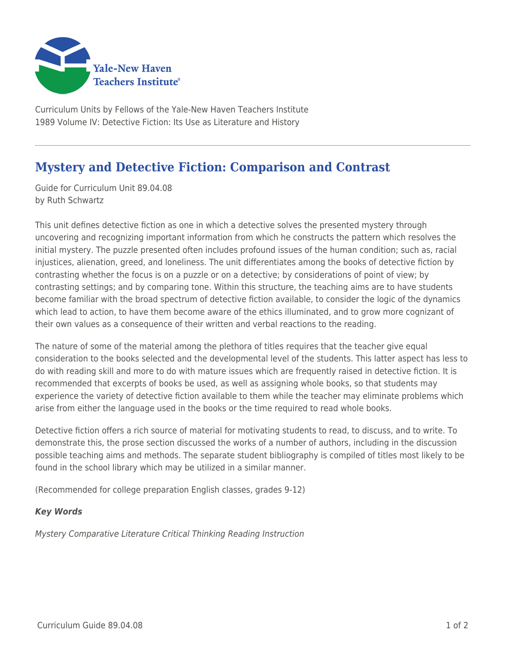

Curriculum Units by Fellows of the Yale-New Haven Teachers Institute 1989 Volume IV: Detective Fiction: Its Use as Literature and History

## **Mystery and Detective Fiction: Comparison and Contrast**

Guide for Curriculum Unit 89.04.08 by Ruth Schwartz

This unit defines detective fiction as one in which a detective solves the presented mystery through uncovering and recognizing important information from which he constructs the pattern which resolves the initial mystery. The puzzle presented often includes profound issues of the human condition; such as, racial injustices, alienation, greed, and loneliness. The unit differentiates among the books of detective fiction by contrasting whether the focus is on a puzzle or on a detective; by considerations of point of view; by contrasting settings; and by comparing tone. Within this structure, the teaching aims are to have students become familiar with the broad spectrum of detective fiction available, to consider the logic of the dynamics which lead to action, to have them become aware of the ethics illuminated, and to grow more cognizant of their own values as a consequence of their written and verbal reactions to the reading.

The nature of some of the material among the plethora of titles requires that the teacher give equal consideration to the books selected and the developmental level of the students. This latter aspect has less to do with reading skill and more to do with mature issues which are frequently raised in detective fiction. It is recommended that excerpts of books be used, as well as assigning whole books, so that students may experience the variety of detective fiction available to them while the teacher may eliminate problems which arise from either the language used in the books or the time required to read whole books.

Detective fiction offers a rich source of material for motivating students to read, to discuss, and to write. To demonstrate this, the prose section discussed the works of a number of authors, including in the discussion possible teaching aims and methods. The separate student bibliography is compiled of titles most likely to be found in the school library which may be utilized in a similar manner.

(Recommended for college preparation English classes, grades 9-12)

## *Key Words*

Mystery Comparative Literature Critical Thinking Reading Instruction